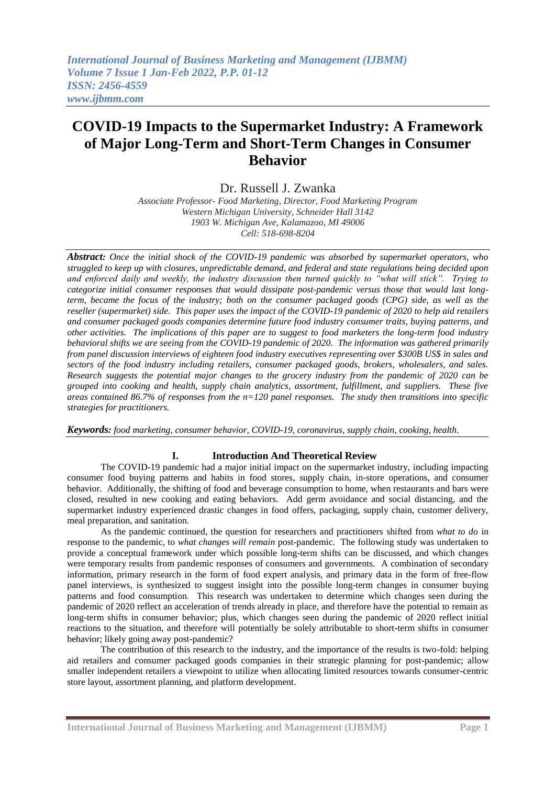# **COVID-19 Impacts to the Supermarket Industry: A Framework of Major Long-Term and Short-Term Changes in Consumer Behavior**

Dr. Russell J. Zwanka

*Associate Professor- Food Marketing, Director, Food Marketing Program Western Michigan University, Schneider Hall 3142 1903 W. Michigan Ave, Kalamazoo, MI 49006 Cell: 518-698-8204*

*Abstract: Once the initial shock of the COVID-19 pandemic was absorbed by supermarket operators, who struggled to keep up with closures, unpredictable demand, and federal and state regulations being decided upon and enforced daily and weekly, the industry discussion then turned quickly to "what will stick". Trying to categorize initial consumer responses that would dissipate post-pandemic versus those that would last longterm, became the focus of the industry; both on the consumer packaged goods (CPG) side, as well as the reseller (supermarket) side. This paper uses the impact of the COVID-19 pandemic of 2020 to help aid retailers and consumer packaged goods companies determine future food industry consumer traits, buying patterns, and other activities. The implications of this paper are to suggest to food marketers the long-term food industry behavioral shifts we are seeing from the COVID-19 pandemic of 2020. The information was gathered primarily from panel discussion interviews of eighteen food industry executives representing over \$300B US\$ in sales and sectors of the food industry including retailers, consumer packaged goods, brokers, wholesalers, and sales. Research suggests the potential major changes to the grocery industry from the pandemic of 2020 can be grouped into cooking and health, supply chain analytics, assortment, fulfillment, and suppliers. These five areas contained 86.7% of responses from the n=120 panel responses. The study then transitions into specific strategies for practitioners.*

*Keywords: food marketing, consumer behavior, COVID-19, coronavirus, supply chain, cooking, health.*

# **I. Introduction And Theoretical Review**

The COVID-19 pandemic had a major initial impact on the supermarket industry, including impacting consumer food buying patterns and habits in food stores, supply chain, in-store operations, and consumer behavior. Additionally, the shifting of food and beverage consumption to home, when restaurants and bars were closed, resulted in new cooking and eating behaviors. Add germ avoidance and social distancing, and the supermarket industry experienced drastic changes in food offers, packaging, supply chain, customer delivery, meal preparation, and sanitation.

As the pandemic continued, the question for researchers and practitioners shifted from *what to do* in response to the pandemic, to *what changes will remain* post-pandemic. The following study was undertaken to provide a conceptual framework under which possible long-term shifts can be discussed, and which changes were temporary results from pandemic responses of consumers and governments. A combination of secondary information, primary research in the form of food expert analysis, and primary data in the form of free-flow panel interviews, is synthesized to suggest insight into the possible long-term changes in consumer buying patterns and food consumption. This research was undertaken to determine which changes seen during the pandemic of 2020 reflect an acceleration of trends already in place, and therefore have the potential to remain as long-term shifts in consumer behavior; plus, which changes seen during the pandemic of 2020 reflect initial reactions to the situation, and therefore will potentially be solely attributable to short-term shifts in consumer behavior; likely going away post-pandemic?

The contribution of this research to the industry, and the importance of the results is two-fold: helping aid retailers and consumer packaged goods companies in their strategic planning for post-pandemic; allow smaller independent retailers a viewpoint to utilize when allocating limited resources towards consumer-centric store layout, assortment planning, and platform development.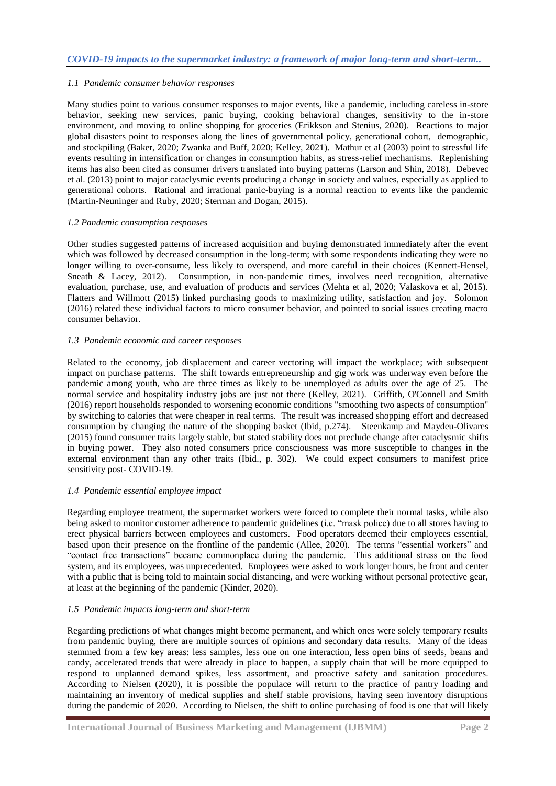# *1.1 Pandemic consumer behavior responses*

Many studies point to various consumer responses to major events, like a pandemic, including careless in-store behavior, seeking new services, panic buying, cooking behavioral changes, sensitivity to the in-store environment, and moving to online shopping for groceries (Erikkson and Stenius, 2020). Reactions to major global disasters point to responses along the lines of governmental policy, generational cohort, demographic, and stockpiling (Baker, 2020; Zwanka and Buff, 2020; Kelley, 2021). Mathur et al (2003) point to stressful life events resulting in intensification or changes in consumption habits, as stress-relief mechanisms. Replenishing items has also been cited as consumer drivers translated into buying patterns (Larson and Shin, 2018). Debevec et al. (2013) point to major cataclysmic events producing a change in society and values, especially as applied to generational cohorts. Rational and irrational panic-buying is a normal reaction to events like the pandemic (Martin-Neuninger and Ruby, 2020; Sterman and Dogan, 2015).

### *1.2 Pandemic consumption responses*

Other studies suggested patterns of increased acquisition and buying demonstrated immediately after the event which was followed by decreased consumption in the long-term; with some respondents indicating they were no longer willing to over-consume, less likely to overspend, and more careful in their choices (Kennett-Hensel, Sneath & Lacey, 2012). Consumption, in non-pandemic times, involves need recognition, alternative evaluation, purchase, use, and evaluation of products and services (Mehta et al, 2020; Valaskova et al, 2015). Flatters and Willmott (2015) linked purchasing goods to maximizing utility, satisfaction and joy. Solomon (2016) related these individual factors to micro consumer behavior, and pointed to social issues creating macro consumer behavior.

# *1.3 Pandemic economic and career responses*

Related to the economy, job displacement and career vectoring will impact the workplace; with subsequent impact on purchase patterns. The shift towards entrepreneurship and gig work was underway even before the pandemic among youth, who are three times as likely to be unemployed as adults over the age of 25. The normal service and hospitality industry jobs are just not there (Kelley, 2021). Griffith, O'Connell and Smith (2016) report households responded to worsening economic conditions "smoothing two aspects of consumption" by switching to calories that were cheaper in real terms. The result was increased shopping effort and decreased consumption by changing the nature of the shopping basket (Ibid, p.274). Steenkamp and Maydeu-Olivares (2015) found consumer traits largely stable, but stated stability does not preclude change after cataclysmic shifts in buying power. They also noted consumers price consciousness was more susceptible to changes in the external environment than any other traits (Ibid., p. 302). We could expect consumers to manifest price sensitivity post- COVID-19.

# *1.4 Pandemic essential employee impact*

Regarding employee treatment, the supermarket workers were forced to complete their normal tasks, while also being asked to monitor customer adherence to pandemic guidelines (i.e. "mask police) due to all stores having to erect physical barriers between employees and customers. Food operators deemed their employees essential, based upon their presence on the frontline of the pandemic (Allee, 2020). The terms "essential workers" and ―contact free transactions‖ became commonplace during the pandemic. This additional stress on the food system, and its employees, was unprecedented. Employees were asked to work longer hours, be front and center with a public that is being told to maintain social distancing, and were working without personal protective gear, at least at the beginning of the pandemic (Kinder, 2020).

# *1.5 Pandemic impacts long-term and short-term*

Regarding predictions of what changes might become permanent, and which ones were solely temporary results from pandemic buying, there are multiple sources of opinions and secondary data results. Many of the ideas stemmed from a few key areas: less samples, less one on one interaction, less open bins of seeds, beans and candy, accelerated trends that were already in place to happen, a supply chain that will be more equipped to respond to unplanned demand spikes, less assortment, and proactive safety and sanitation procedures. According to Nielsen (2020), it is possible the populace will return to the practice of pantry loading and maintaining an inventory of medical supplies and shelf stable provisions, having seen inventory disruptions during the pandemic of 2020. According to Nielsen, the shift to online purchasing of food is one that will likely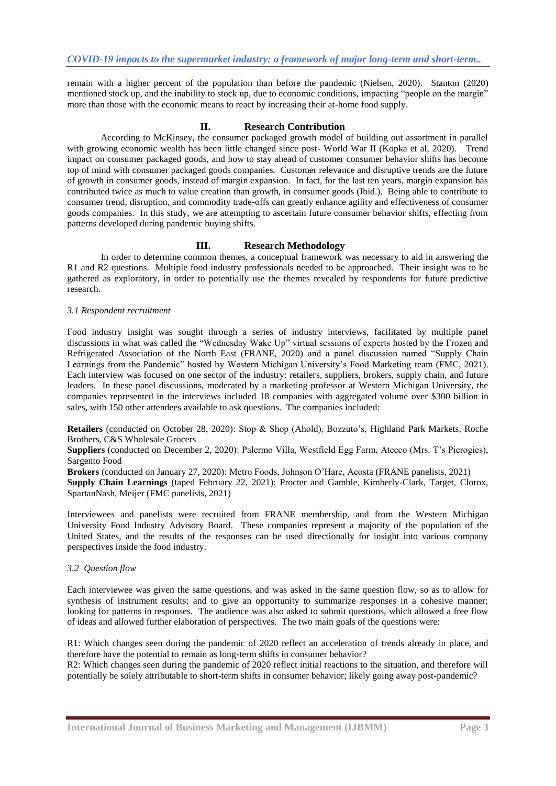remain with a higher percent of the population than before the pandemic (Nielsen, 2020). Stanton (2020) mentioned stock up, and the inability to stock up, due to economic conditions, impacting "people on the margin" more than those with the economic means to react by increasing their at-home food supply.

# **II. Research Contribution**

According to McKinsey, the consumer packaged growth model of building out assortment in parallel with growing economic wealth has been little changed since post- World War II (Kopka et al, 2020). Trend impact on consumer packaged goods, and how to stay ahead of customer consumer behavior shifts has become top of mind with consumer packaged goods companies. Customer relevance and disruptive trends are the future of growth in consumer goods, instead of margin expansion. In fact, for the last ten years, margin expansion has contributed twice as much to value creation than growth, in consumer goods (Ibid.). Being able to contribute to consumer trend, disruption, and commodity trade-offs can greatly enhance agility and effectiveness of consumer goods companies. In this study, we are attempting to ascertain future consumer behavior shifts, effecting from patterns developed during pandemic buying shifts.

# **III. Research Methodology**

In order to determine common themes, a conceptual framework was necessary to aid in answering the R1 and R2 questions. Multiple food industry professionals needed to be approached. Their insight was to be gathered as exploratory, in order to potentially use the themes revealed by respondents for future predictive research.

### *3.1 Respondent recruitment*

Food industry insight was sought through a series of industry interviews, facilitated by multiple panel discussions in what was called the "Wednesday Wake Up" virtual sessions of experts hosted by the Frozen and Refrigerated Association of the North East (FRANE, 2020) and a panel discussion named "Supply Chain" Learnings from the Pandemic" hosted by Western Michigan University's Food Marketing team (FMC, 2021). Each interview was focused on one sector of the industry: retailers, suppliers, brokers, supply chain, and future leaders. In these panel discussions, moderated by a marketing professor at Western Michigan University, the companies represented in the interviews included 18 companies with aggregated volume over \$300 billion in sales, with 150 other attendees available to ask questions. The companies included:

**Retailers** (conducted on October 28, 2020): Stop & Shop (Ahold), Bozzuto's, Highland Park Markets, Roche Brothers, C&S Wholesale Grocers

**Suppliers** (conducted on December 2, 2020): Palermo Villa, Westfield Egg Farm, Ateeco (Mrs. T's Pierogies), Sargento Food

**Brokers** (conducted on January 27, 2020): Metro Foods, Johnson O'Hare, Acosta (FRANE panelists, 2021) **Supply Chain Learnings** (taped February 22, 2021): Procter and Gamble, Kimberly-Clark, Target, Clorox, SpartanNash, Meijer (FMC panelists, 2021)

Interviewees and panelists were recruited from FRANE membership, and from the Western Michigan University Food Industry Advisory Board. These companies represent a majority of the population of the United States, and the results of the responses can be used directionally for insight into various company perspectives inside the food industry.

### *3.2 Question flow*

Each interviewee was given the same questions, and was asked in the same question flow, so as to allow for synthesis of instrument results; and to give an opportunity to summarize responses in a cohesive manner; looking for patterns in responses. The audience was also asked to submit questions, which allowed a free flow of ideas and allowed further elaboration of perspectives. The two main goals of the questions were:

R1: Which changes seen during the pandemic of 2020 reflect an acceleration of trends already in place, and therefore have the potential to remain as long-term shifts in consumer behavior?

R2: Which changes seen during the pandemic of 2020 reflect initial reactions to the situation, and therefore will potentially be solely attributable to short-term shifts in consumer behavior; likely going away post-pandemic?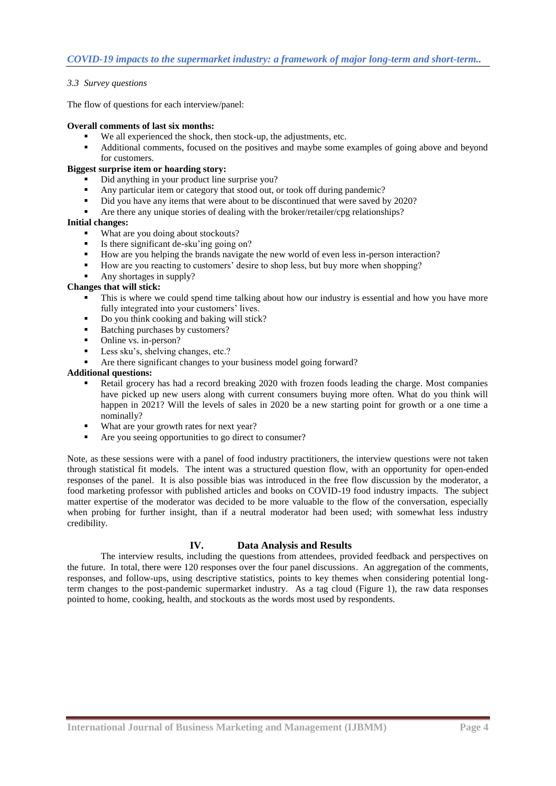# *3.3 Survey questions*

The flow of questions for each interview/panel:

### **Overall comments of last six months:**

- We all experienced the shock, then stock-up, the adjustments, etc.
- Additional comments, focused on the positives and maybe some examples of going above and beyond for customers.

# **Biggest surprise item or hoarding story:**

- Did anything in your product line surprise you?
- Any particular item or category that stood out, or took off during pandemic?
- Did you have any items that were about to be discontinued that were saved by 2020?
- Are there any unique stories of dealing with the broker/retailer/cpg relationships?

### **Initial changes:**

- What are you doing about stockouts?
- Is there significant de-sku'ing going on?
- How are you helping the brands navigate the new world of even less in-person interaction?
- How are you reacting to customers' desire to shop less, but buy more when shopping?
- Any shortages in supply?

### **Changes that will stick:**

- This is where we could spend time talking about how our industry is essential and how you have more fully integrated into your customers' lives.
- Do you think cooking and baking will stick?
- Batching purchases by customers?
- Online vs. in-person?
- Less sku's, shelving changes, etc.?
- Are there significant changes to your business model going forward?

# **Additional questions:**

- Retail grocery has had a record breaking 2020 with frozen foods leading the charge. Most companies have picked up new users along with current consumers buying more often. What do you think will happen in 2021? Will the levels of sales in 2020 be a new starting point for growth or a one time a nominally?
- What are your growth rates for next year?
- Are you seeing opportunities to go direct to consumer?

Note, as these sessions were with a panel of food industry practitioners, the interview questions were not taken through statistical fit models. The intent was a structured question flow, with an opportunity for open-ended responses of the panel. It is also possible bias was introduced in the free flow discussion by the moderator, a food marketing professor with published articles and books on COVID-19 food industry impacts. The subject matter expertise of the moderator was decided to be more valuable to the flow of the conversation, especially when probing for further insight, than if a neutral moderator had been used; with somewhat less industry credibility.

# **IV. Data Analysis and Results**

The interview results, including the questions from attendees, provided feedback and perspectives on the future. In total, there were 120 responses over the four panel discussions. An aggregation of the comments, responses, and follow-ups, using descriptive statistics, points to key themes when considering potential longterm changes to the post-pandemic supermarket industry. As a tag cloud (Figure 1), the raw data responses pointed to home, cooking, health, and stockouts as the words most used by respondents.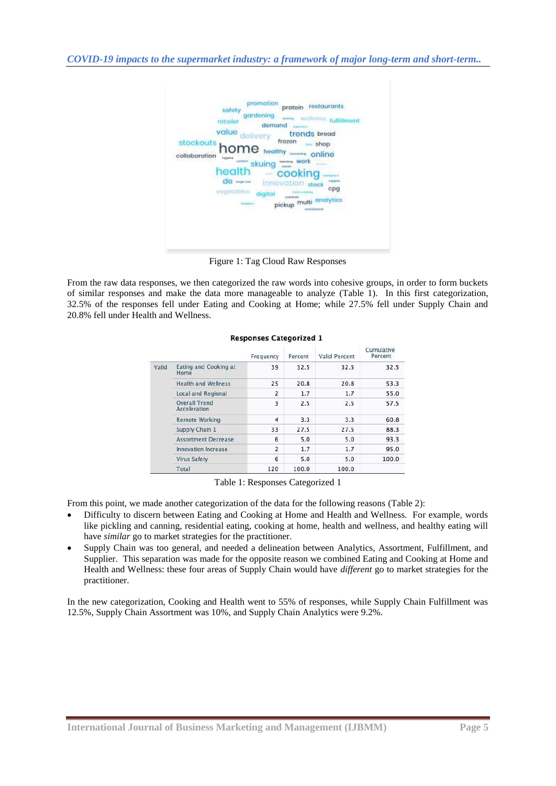

Figure 1: Tag Cloud Raw Responses

From the raw data responses, we then categorized the raw words into cohesive groups, in order to form buckets of similar responses and make the data more manageable to analyze (Table 1). In this first categorization, 32.5% of the responses fell under Eating and Cooking at Home; while 27.5% fell under Supply Chain and 20.8% fell under Health and Wellness.

|       |                               | Frequency               | Percent | Valid Percent | Cumulative<br>Percent |
|-------|-------------------------------|-------------------------|---------|---------------|-----------------------|
| Valid | Eating and Cooking at<br>Home | 39                      | 32.5    | 32.5          | 32.5                  |
|       | Health and Wellness           | 25                      | 20.8    | 20.8          | 53.3                  |
|       | Local and Regional            | 2                       | 1.7     | 1.7           | 55.0                  |
|       | Overall Trend<br>Acceleration | $\overline{\mathbf{3}}$ | 2.5     | 2.5           | 57.5                  |
|       | <b>Remote Working</b>         | 4                       | 3.3     | 3.3           | 60.8                  |
|       | Supply Chain 1                | 33                      | 27.5    | 27.5          | 88.3                  |
|       | <b>Assortment Decrease</b>    | 6                       | 5.0     | 5.0           | 93.3                  |
|       | Innovation Increase           | $\overline{2}$          | 1.7     | 1.7           | 95.0                  |
|       | Virus Safety                  | 6                       | 5.0     | 5.0           | 100.0                 |
|       | Total                         | 120                     | 100.0   | 100.0         |                       |

#### **Responses Categorized 1**

Table 1: Responses Categorized 1

From this point, we made another categorization of the data for the following reasons (Table 2):

- Difficulty to discern between Eating and Cooking at Home and Health and Wellness. For example, words like pickling and canning, residential eating, cooking at home, health and wellness, and healthy eating will have *similar* go to market strategies for the practitioner.
- Supply Chain was too general, and needed a delineation between Analytics, Assortment, Fulfillment, and Supplier. This separation was made for the opposite reason we combined Eating and Cooking at Home and Health and Wellness: these four areas of Supply Chain would have *different* go to market strategies for the practitioner.

In the new categorization, Cooking and Health went to 55% of responses, while Supply Chain Fulfillment was 12.5%, Supply Chain Assortment was 10%, and Supply Chain Analytics were 9.2%.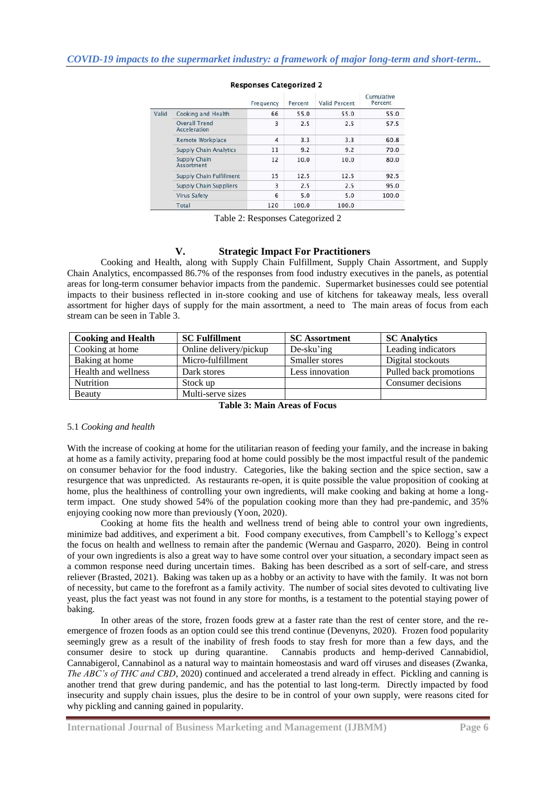|       |                               | Frequency | Percent | Valid Percent | Cumulative<br>Percent |
|-------|-------------------------------|-----------|---------|---------------|-----------------------|
| Valid | Cooking and Health            | 66        | 55.0    | 55.0          | 55.0                  |
|       | Overall Trend<br>Acceleration | 3         | 2.5     | 2.5           | 57.5                  |
|       | Remote Workplace              | 4         | 3.3     | 3.3           | 60.8                  |
|       | Supply Chain Analytics        | 11        | 9.2     | 9.2           | 70.0                  |
|       | Supply Chain<br>Assortment    | 12        | 10.0    | 10.0          | 80.0                  |
|       | Supply Chain Fulfillment      | 15        | 12.5    | 12.5          | 92.5                  |
|       | Supply Chain Suppliers        | 3         | 2.5     | 2.5           | 95.0                  |
|       | Virus Safety                  | 6         | 5.0     | 5.0           | 100.0                 |
|       | Total                         | 120       | 100.0   | 100.0         |                       |

# **Responses Categorized 2**

Table 2: Responses Categorized 2

### **V. Strategic Impact For Practitioners**

Cooking and Health, along with Supply Chain Fulfillment, Supply Chain Assortment, and Supply Chain Analytics, encompassed 86.7% of the responses from food industry executives in the panels, as potential areas for long-term consumer behavior impacts from the pandemic. Supermarket businesses could see potential impacts to their business reflected in in-store cooking and use of kitchens for takeaway meals, less overall assortment for higher days of supply for the main assortment, a need to The main areas of focus from each stream can be seen in Table 3.

| <b>Cooking and Health</b> | <b>SC Fulfillment</b>  | <b>SC</b> Assortment | <b>SC</b> Analytics    |
|---------------------------|------------------------|----------------------|------------------------|
| Cooking at home           | Online delivery/pickup | De-sku'ing           | Leading indicators     |
| Baking at home            | Micro-fulfillment      | Smaller stores       | Digital stockouts      |
| Health and wellness       | Dark stores            | Less innovation      | Pulled back promotions |
| <b>Nutrition</b>          | Stock up               |                      | Consumer decisions     |
| Beauty                    | Multi-serve sizes      |                      |                        |

**Table 3: Main Areas of Focus** 

### 5.1 *Cooking and health*

With the increase of cooking at home for the utilitarian reason of feeding your family, and the increase in baking at home as a family activity, preparing food at home could possibly be the most impactful result of the pandemic on consumer behavior for the food industry. Categories, like the baking section and the spice section, saw a resurgence that was unpredicted. As restaurants re-open, it is quite possible the value proposition of cooking at home, plus the healthiness of controlling your own ingredients, will make cooking and baking at home a longterm impact. One study showed 54% of the population cooking more than they had pre-pandemic, and 35% enjoying cooking now more than previously (Yoon, 2020).

Cooking at home fits the health and wellness trend of being able to control your own ingredients, minimize bad additives, and experiment a bit. Food company executives, from Campbell's to Kellogg's expect the focus on health and wellness to remain after the pandemic (Wernau and Gasparro, 2020). Being in control of your own ingredients is also a great way to have some control over your situation, a secondary impact seen as a common response need during uncertain times. Baking has been described as a sort of self-care, and stress reliever (Brasted, 2021). Baking was taken up as a hobby or an activity to have with the family. It was not born of necessity, but came to the forefront as a family activity. The number of social sites devoted to cultivating live yeast, plus the fact yeast was not found in any store for months, is a testament to the potential staying power of baking.

In other areas of the store, frozen foods grew at a faster rate than the rest of center store, and the reemergence of frozen foods as an option could see this trend continue (Devenyns, 2020). Frozen food popularity seemingly grew as a result of the inability of fresh foods to stay fresh for more than a few days, and the consumer desire to stock up during quarantine. Cannabis products and hemp-derived Cannabidiol, Cannabigerol, Cannabinol as a natural way to maintain homeostasis and ward off viruses and diseases (Zwanka, *The ABC's of THC and CBD*, 2020) continued and accelerated a trend already in effect. Pickling and canning is another trend that grew during pandemic, and has the potential to last long-term. Directly impacted by food insecurity and supply chain issues, plus the desire to be in control of your own supply, were reasons cited for why pickling and canning gained in popularity.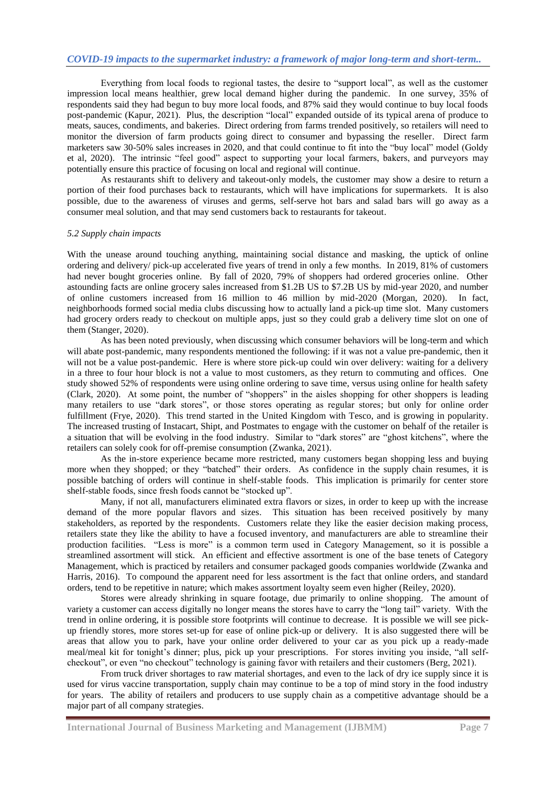Everything from local foods to regional tastes, the desire to "support local", as well as the customer impression local means healthier, grew local demand higher during the pandemic. In one survey, 35% of respondents said they had begun to buy more local foods, and 87% said they would continue to buy local foods post-pandemic (Kapur, 2021). Plus, the description "local" expanded outside of its typical arena of produce to meats, sauces, condiments, and bakeries. Direct ordering from farms trended positively, so retailers will need to monitor the diversion of farm products going direct to consumer and bypassing the reseller. Direct farm marketers saw 30-50% sales increases in 2020, and that could continue to fit into the "buy local" model (Goldy et al, 2020). The intrinsic "feel good" aspect to supporting your local farmers, bakers, and purveyors may potentially ensure this practice of focusing on local and regional will continue.

As restaurants shift to delivery and takeout-only models, the customer may show a desire to return a portion of their food purchases back to restaurants, which will have implications for supermarkets. It is also possible, due to the awareness of viruses and germs, self-serve hot bars and salad bars will go away as a consumer meal solution, and that may send customers back to restaurants for takeout.

#### *5.2 Supply chain impacts*

With the unease around touching anything, maintaining social distance and masking, the uptick of online ordering and delivery/ pick-up accelerated five years of trend in only a few months. In 2019, 81% of customers had never bought groceries online. By fall of 2020, 79% of shoppers had ordered groceries online. Other astounding facts are online grocery sales increased from \$1.2B US to \$7.2B US by mid-year 2020, and number of online customers increased from 16 million to 46 million by mid-2020 (Morgan, 2020). In fact, neighborhoods formed social media clubs discussing how to actually land a pick-up time slot. Many customers had grocery orders ready to checkout on multiple apps, just so they could grab a delivery time slot on one of them (Stanger, 2020).

As has been noted previously, when discussing which consumer behaviors will be long-term and which will abate post-pandemic, many respondents mentioned the following: if it was not a value pre-pandemic, then it will not be a value post-pandemic. Here is where store pick-up could win over delivery: waiting for a delivery in a three to four hour block is not a value to most customers, as they return to commuting and offices. One study showed 52% of respondents were using online ordering to save time, versus using online for health safety (Clark, 2020). At some point, the number of "shoppers" in the aisles shopping for other shoppers is leading many retailers to use "dark stores", or those stores operating as regular stores; but only for online order fulfillment (Frye, 2020). This trend started in the United Kingdom with Tesco, and is growing in popularity. The increased trusting of Instacart, Shipt, and Postmates to engage with the customer on behalf of the retailer is a situation that will be evolving in the food industry. Similar to "dark stores" are "ghost kitchens", where the retailers can solely cook for off-premise consumption (Zwanka, 2021).

As the in-store experience became more restricted, many customers began shopping less and buying more when they shopped; or they "batched" their orders. As confidence in the supply chain resumes, it is possible batching of orders will continue in shelf-stable foods. This implication is primarily for center store shelf-stable foods, since fresh foods cannot be "stocked up".

Many, if not all, manufacturers eliminated extra flavors or sizes, in order to keep up with the increase demand of the more popular flavors and sizes. This situation has been received positively by many stakeholders, as reported by the respondents. Customers relate they like the easier decision making process, retailers state they like the ability to have a focused inventory, and manufacturers are able to streamline their production facilities. "Less is more" is a common term used in Category Management, so it is possible a streamlined assortment will stick. An efficient and effective assortment is one of the base tenets of Category Management, which is practiced by retailers and consumer packaged goods companies worldwide (Zwanka and Harris, 2016). To compound the apparent need for less assortment is the fact that online orders, and standard orders, tend to be repetitive in nature; which makes assortment loyalty seem even higher (Reiley, 2020).

Stores were already shrinking in square footage, due primarily to online shopping. The amount of variety a customer can access digitally no longer means the stores have to carry the "long tail" variety. With the trend in online ordering, it is possible store footprints will continue to decrease. It is possible we will see pickup friendly stores, more stores set-up for ease of online pick-up or delivery. It is also suggested there will be areas that allow you to park, have your online order delivered to your car as you pick up a ready-made meal/meal kit for tonight's dinner; plus, pick up your prescriptions. For stores inviting you inside, "all selfcheckout", or even "no checkout" technology is gaining favor with retailers and their customers (Berg, 2021).

From truck driver shortages to raw material shortages, and even to the lack of dry ice supply since it is used for virus vaccine transportation, supply chain may continue to be a top of mind story in the food industry for years. The ability of retailers and producers to use supply chain as a competitive advantage should be a major part of all company strategies.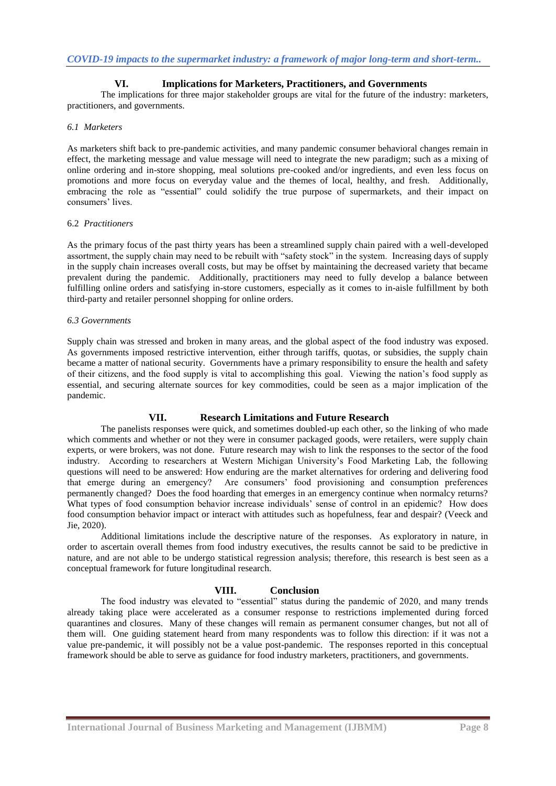# **VI. Implications for Marketers, Practitioners, and Governments**

The implications for three major stakeholder groups are vital for the future of the industry: marketers, practitioners, and governments.

# *6.1 Marketers*

As marketers shift back to pre-pandemic activities, and many pandemic consumer behavioral changes remain in effect, the marketing message and value message will need to integrate the new paradigm; such as a mixing of online ordering and in-store shopping, meal solutions pre-cooked and/or ingredients, and even less focus on promotions and more focus on everyday value and the themes of local, healthy, and fresh. Additionally, embracing the role as "essential" could solidify the true purpose of supermarkets, and their impact on consumers' lives.

### 6.2 *Practitioners*

As the primary focus of the past thirty years has been a streamlined supply chain paired with a well-developed assortment, the supply chain may need to be rebuilt with "safety stock" in the system. Increasing days of supply in the supply chain increases overall costs, but may be offset by maintaining the decreased variety that became prevalent during the pandemic. Additionally, practitioners may need to fully develop a balance between fulfilling online orders and satisfying in-store customers, especially as it comes to in-aisle fulfillment by both third-party and retailer personnel shopping for online orders.

#### *6.3 Governments*

Supply chain was stressed and broken in many areas, and the global aspect of the food industry was exposed. As governments imposed restrictive intervention, either through tariffs, quotas, or subsidies, the supply chain became a matter of national security. Governments have a primary responsibility to ensure the health and safety of their citizens, and the food supply is vital to accomplishing this goal. Viewing the nation's food supply as essential, and securing alternate sources for key commodities, could be seen as a major implication of the pandemic.

### **VII. Research Limitations and Future Research**

The panelists responses were quick, and sometimes doubled-up each other, so the linking of who made which comments and whether or not they were in consumer packaged goods, were retailers, were supply chain experts, or were brokers, was not done. Future research may wish to link the responses to the sector of the food industry. According to researchers at Western Michigan University's Food Marketing Lab, the following questions will need to be answered: How enduring are the market alternatives for ordering and delivering food that emerge during an emergency? Are consumers' food provisioning and consumption preferences permanently changed? Does the food hoarding that emerges in an emergency continue when normalcy returns? What types of food consumption behavior increase individuals' sense of control in an epidemic? How does food consumption behavior impact or interact with attitudes such as hopefulness, fear and despair? (Veeck and Jie, 2020).

Additional limitations include the descriptive nature of the responses. As exploratory in nature, in order to ascertain overall themes from food industry executives, the results cannot be said to be predictive in nature, and are not able to be undergo statistical regression analysis; therefore, this research is best seen as a conceptual framework for future longitudinal research.

### **VIII. Conclusion**

The food industry was elevated to "essential" status during the pandemic of 2020, and many trends already taking place were accelerated as a consumer response to restrictions implemented during forced quarantines and closures. Many of these changes will remain as permanent consumer changes, but not all of them will. One guiding statement heard from many respondents was to follow this direction: if it was not a value pre-pandemic, it will possibly not be a value post-pandemic. The responses reported in this conceptual framework should be able to serve as guidance for food industry marketers, practitioners, and governments.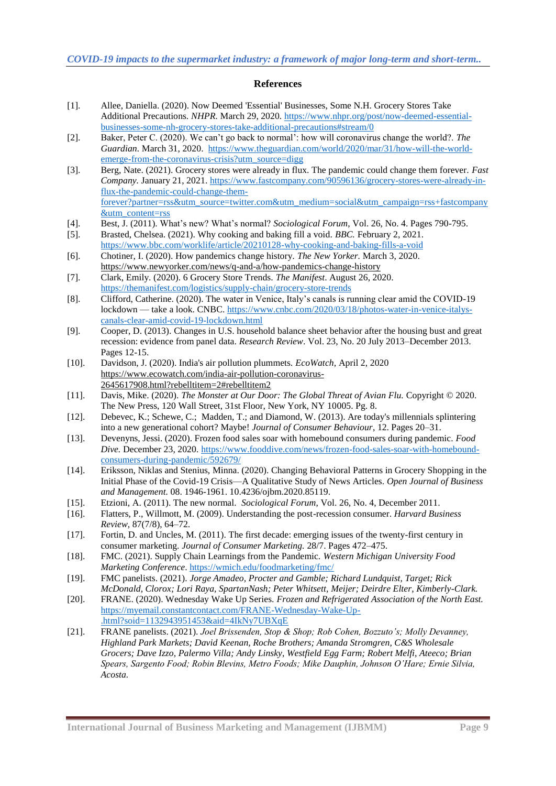### **References**

- [1]. Allee, Daniella. (2020). Now Deemed 'Essential' Businesses, Some N.H. Grocery Stores Take Additional Precautions. *NHPR.* March 29, 2020*.* [https://www.nhpr.org/post/now-deemed-essential](https://www.nhpr.org/post/now-deemed-essential-businesses-some-nh-grocery-stores-take-additional-precautions#stream/0)[businesses-some-nh-grocery-stores-take-additional-precautions#stream/0](https://www.nhpr.org/post/now-deemed-essential-businesses-some-nh-grocery-stores-take-additional-precautions#stream/0)
- [2]. Baker, Peter C. (2020). We can't go back to normal': how will coronavirus change the world?. *The Guardian.* March 31, 2020. [https://www.theguardian.com/world/2020/mar/31/how-will-the-world](https://www.theguardian.com/world/2020/mar/31/how-will-the-world-emerge-from-the-coronavirus-crisis?utm_source=digg)[emerge-from-the-coronavirus-crisis?utm\\_source=digg](https://www.theguardian.com/world/2020/mar/31/how-will-the-world-emerge-from-the-coronavirus-crisis?utm_source=digg)
- [3]. Berg, Nate. (2021). Grocery stores were already in flux. The pandemic could change them forever. *Fast Company.* January 21, 2021. [https://www.fastcompany.com/90596136/grocery-stores-were-already-in](https://www.fastcompany.com/90596136/grocery-stores-were-already-in-flux-the-pandemic-could-change-them-forever?partner=rss&utm_source=twitter.com&utm_medium=social&utm_campaign=rss+fastcompany&utm_content=rss)[flux-the-pandemic-could-change-them](https://www.fastcompany.com/90596136/grocery-stores-were-already-in-flux-the-pandemic-could-change-them-forever?partner=rss&utm_source=twitter.com&utm_medium=social&utm_campaign=rss+fastcompany&utm_content=rss)[forever?partner=rss&utm\\_source=twitter.com&utm\\_medium=social&utm\\_campaign=rss+fastcompany](https://www.fastcompany.com/90596136/grocery-stores-were-already-in-flux-the-pandemic-could-change-them-forever?partner=rss&utm_source=twitter.com&utm_medium=social&utm_campaign=rss+fastcompany&utm_content=rss) [&utm\\_content=rss](https://www.fastcompany.com/90596136/grocery-stores-were-already-in-flux-the-pandemic-could-change-them-forever?partner=rss&utm_source=twitter.com&utm_medium=social&utm_campaign=rss+fastcompany&utm_content=rss)
- [4]. Best, J. (2011). What's new? What's normal? *Sociological Forum*, Vol. 26, No. 4. Pages 790-795.
- [5]. Brasted, Chelsea. (2021). Why cooking and baking fill a void. *BBC.* February 2, 2021. <https://www.bbc.com/worklife/article/20210128-why-cooking-and-baking-fills-a-void>
- [6]. Chotiner, I. (2020). How pandemics change history. *The New Yorker.* March 3, 2020. <https://www.newyorker.com/news/q-and-a/how-pandemics-change-history>
- [7]. Clark, Emily. (2020). 6 Grocery Store Trends. *The Manifest*. August 26, 2020. <https://themanifest.com/logistics/supply-chain/grocery-store-trends>
- [8]. Clifford, Catherine. (2020). The water in Venice, Italy's canals is running clear amid the COVID-19 lockdown — take a look. CNBC. [https://www.cnbc.com/2020/03/18/photos-water-in-venice-italys](https://www.cnbc.com/2020/03/18/photos-water-in-venice-italys-canals-clear-amid-covid-19-lockdown.html)[canals-clear-amid-covid-19-lockdown.html](https://www.cnbc.com/2020/03/18/photos-water-in-venice-italys-canals-clear-amid-covid-19-lockdown.html)
- [9]. Cooper, D. (2013). Changes in U.S. household balance sheet behavior after the housing bust and great recession: evidence from panel data. *Research Review*. Vol. 23, No. 20 July 2013–December 2013. Pages 12-15.
- [10]. Davidson, J. (2020). India's air pollution plummets. *EcoWatch,* April 2, 2020 [https://www.ecowatch.com/india-air-pollution-coronavirus-](https://www.ecowatch.com/india-air-pollution-coronavirus-2645617908.html?rebelltitem=2#rebelltitem2)[2645617908.html?rebelltitem=2#rebelltitem2](https://www.ecowatch.com/india-air-pollution-coronavirus-2645617908.html?rebelltitem=2#rebelltitem2)
- [11]. Davis, Mike. (2020). *The Monster at Our Door: The Global Threat of Avian Flu.* Copyright © 2020. The New Press, 120 Wall Street, 31st Floor, New York, NY 10005. Pg. 8.
- [12]. Debevec, K.; Schewe, C.; Madden, T.; and Diamond, W. (2013). Are today's millennials splintering into a new generational cohort? Maybe! *Journal of Consumer Behaviour*, 12. Pages 20–31.
- [13]. Devenyns, Jessi. (2020). Frozen food sales soar with homebound consumers during pandemic. *Food Dive.* December 23, 2020. [https://www.fooddive.com/news/frozen-food-sales-soar-with-homebound](https://www.fooddive.com/news/frozen-food-sales-soar-with-homebound-consumers-during-pandemic/592679/)[consumers-during-pandemic/592679/](https://www.fooddive.com/news/frozen-food-sales-soar-with-homebound-consumers-during-pandemic/592679/)
- [14]. Eriksson, Niklas and Stenius, Minna. (2020). Changing Behavioral Patterns in Grocery Shopping in the Initial Phase of the Covid-19 Crisis—A Qualitative Study of News Articles. *Open Journal of Business and Management.* 08. 1946-1961. 10.4236/ojbm.2020.85119.
- [15]. Etzioni, A. (2011). The new normal. *Sociological Forum*, Vol. 26, No. 4, December 2011.
- [16]. Flatters, P., Willmott, M. (2009). Understanding the post-recession consumer. *Harvard Business Review*, 87(7/8), 64–72.
- [17]. Fortin, D. and Uncles, M. (2011). The first decade: emerging issues of the twenty-first century in consumer marketing. *Journal of Consumer Marketing.* 28/7. Pages 472–475.
- [18]. FMC. (2021). Supply Chain Learnings from the Pandemic. *Western Michigan University Food Marketing Conference*.<https://wmich.edu/foodmarketing/fmc/>
- [19]. FMC panelists. (2021). *Jorge Amadeo, Procter and Gamble; Richard Lundquist, Target; Rick McDonald, Clorox; Lori Raya, SpartanNash; Peter Whitsett, Meijer; Deirdre Elter, Kimberly-Clark.*
- [20]. FRANE. (2020). Wednesday Wake Up Series. *Frozen and Refrigerated Association of the North East.* [https://myemail.constantcontact.com/FRANE-Wednesday-Wake-Up-](https://myemail.constantcontact.com/FRANE-Wednesday-Wake-Up-.html?soid=1132943951453&aid=4IkNy7UBXqE) [.html?soid=1132943951453&aid=4IkNy7UBXqE](https://myemail.constantcontact.com/FRANE-Wednesday-Wake-Up-.html?soid=1132943951453&aid=4IkNy7UBXqE)
- [21]. FRANE panelists. (2021). *Joel Brissenden, Stop & Shop; Rob Cohen, Bozzuto's; Molly Devanney, Highland Park Markets; David Keenan, Roche Brothers; Amanda Stromgren, C&S Wholesale Grocers; Dave Izzo, Palermo Villa; Andy Linsky, Westfield Egg Farm; Robert Melfi, Ateeco; Brian Spears, Sargento Food; Robin Blevins, Metro Foods; Mike Dauphin, Johnson O'Hare; Ernie Silvia, Acosta.*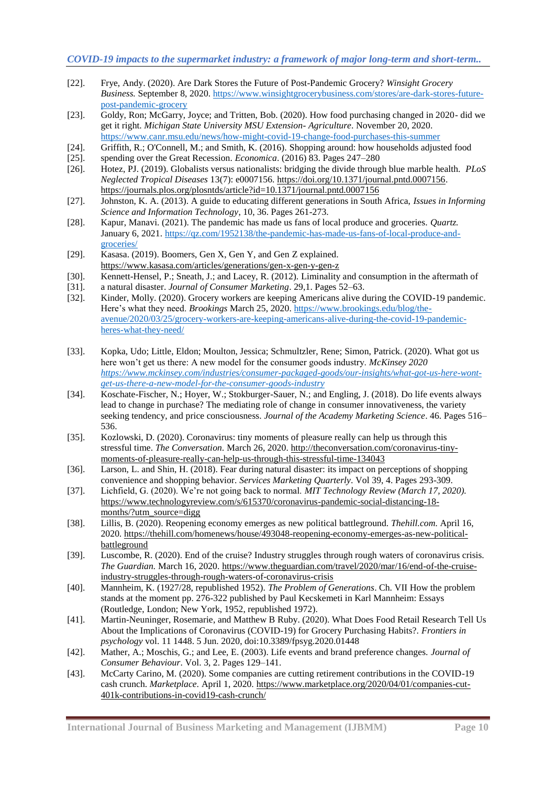- [22]. Frye, Andy. (2020). Are Dark Stores the Future of Post-Pandemic Grocery? *Winsight Grocery Business.* September 8, 2020. [https://www.winsightgrocerybusiness.com/stores/are-dark-stores-future](https://www.winsightgrocerybusiness.com/stores/are-dark-stores-future-post-pandemic-grocery)[post-pandemic-grocery](https://www.winsightgrocerybusiness.com/stores/are-dark-stores-future-post-pandemic-grocery)
- [23]. Goldy, Ron; McGarry, Joyce; and Tritten, Bob. (2020). How food purchasing changed in 2020- did we get it right. *Michigan State University MSU Extension- Agriculture*. November 20, 2020. <https://www.canr.msu.edu/news/how-might-covid-19-change-food-purchases-this-summer>
- [24]. Griffith, R.; O'Connell, M.; and Smith, K. (2016). Shopping around: how households adjusted food
- [25]. spending over the Great Recession. *Economica*. (2016) 83. Pages 247–280
- [26]. Hotez, PJ. (2019). Globalists versus nationalists: bridging the divide through blue marble health. *PLoS Neglected Tropical Diseases* 13(7): e0007156. [https://doi.org/10.1371/journal.pntd.0007156.](https://doi.org/10.1371/journal.pntd.0007156) <https://journals.plos.org/plosntds/article?id=10.1371/journal.pntd.0007156>
- [27]. Johnston, K. A. (2013). A guide to educating different generations in South Africa, *Issues in Informing Science and Information Technology*, 10, 36. Pages 261-273.
- [28]. Kapur, Manavi. (2021). The pandemic has made us fans of local produce and groceries. *Quartz.* January 6, 2021[. https://qz.com/1952138/the-pandemic-has-made-us-fans-of-local-produce-and](https://qz.com/1952138/the-pandemic-has-made-us-fans-of-local-produce-and-groceries/)[groceries/](https://qz.com/1952138/the-pandemic-has-made-us-fans-of-local-produce-and-groceries/)
- [29]. Kasasa. (2019). Boomers, Gen X, Gen Y, and Gen Z explained. <https://www.kasasa.com/articles/generations/gen-x-gen-y-gen-z>
- [30]. Kennett-Hensel, P.; Sneath, J.; and Lacey, R. (2012). Liminality and consumption in the aftermath of
- [31]. a natural disaster. *Journal of Consumer Marketing*. 29,1. Pages 52–63.
- [32]. Kinder, Molly. (2020). Grocery workers are keeping Americans alive during the COVID-19 pandemic. Here's what they need. *Brookings* March 25, 2020. [https://www.brookings.edu/blog/the](https://www.brookings.edu/blog/the-avenue/2020/03/25/grocery-workers-are-keeping-americans-alive-during-the-covid-19-pandemic-heres-what-they-need/)[avenue/2020/03/25/grocery-workers-are-keeping-americans-alive-during-the-covid-19-pandemic](https://www.brookings.edu/blog/the-avenue/2020/03/25/grocery-workers-are-keeping-americans-alive-during-the-covid-19-pandemic-heres-what-they-need/)[heres-what-they-need/](https://www.brookings.edu/blog/the-avenue/2020/03/25/grocery-workers-are-keeping-americans-alive-during-the-covid-19-pandemic-heres-what-they-need/)
- [33]. Kopka, Udo; Little, Eldon; Moulton, Jessica; Schmultzler, Rene; Simon, Patrick. (2020). What got us here won't get us there: A new model for the consumer goods industry. *McKinsey 2020 [https://www.mckinsey.com/industries/consumer-packaged-goods/our-insights/what-got-us-here-wont](https://www.mckinsey.com/industries/consumer-packaged-goods/our-insights/what-got-us-here-wont-get-us-there-a-new-model-for-the-consumer-goods-industry)[get-us-there-a-new-model-for-the-consumer-goods-industry](https://www.mckinsey.com/industries/consumer-packaged-goods/our-insights/what-got-us-here-wont-get-us-there-a-new-model-for-the-consumer-goods-industry)*
- [34]. Koschate-Fischer, N.; Hoyer, W.; Stokburger-Sauer, N.; and Engling, J. (2018). Do life events always lead to change in purchase? The mediating role of change in consumer innovativeness, the variety seeking tendency, and price consciousness. *Journal of the Academy Marketing Science*. 46. Pages 516– 536.
- [35]. Kozlowski, D. (2020). Coronavirus: tiny moments of pleasure really can help us through this stressful time. *The Conversation.* March 26, 2020. [http://theconversation.com/coronavirus-tiny](http://theconversation.com/coronavirus-tiny-moments-of-pleasure-really-can-help-us-through-this-stressful-time-134043)[moments-of-pleasure-really-can-help-us-through-this-stressful-time-134043](http://theconversation.com/coronavirus-tiny-moments-of-pleasure-really-can-help-us-through-this-stressful-time-134043)
- [36]. Larson, L. and Shin, H. (2018). Fear during natural disaster: its impact on perceptions of shopping convenience and shopping behavior. *Services Marketing Quarterly*. Vol 39, 4. Pages 293-309.
- [37]. Lichfield, G. (2020). We're not going back to normal. *MIT Technology Review (March 17, 2020).* [https://www.technologyreview.com/s/615370/coronavirus-pandemic-social-distancing-18](https://www.technologyreview.com/s/615370/coronavirus-pandemic-social-distancing-18-months/?utm_source=digg) [months/?utm\\_source=digg](https://www.technologyreview.com/s/615370/coronavirus-pandemic-social-distancing-18-months/?utm_source=digg)
- [38]. Lillis, B. (2020). Reopening economy emerges as new political battleground. *Thehill.com.* April 16, 2020*.* [https://thehill.com/homenews/house/493048-reopening-economy-emerges-as-new-political](https://thehill.com/homenews/house/493048-reopening-economy-emerges-as-new-political-battleground)[battleground](https://thehill.com/homenews/house/493048-reopening-economy-emerges-as-new-political-battleground)
- [39]. Luscombe, R. (2020). End of the cruise? Industry struggles through rough waters of coronavirus crisis. *The Guardian.* March 16, 2020. [https://www.theguardian.com/travel/2020/mar/16/end-of-the-cruise](https://www.theguardian.com/travel/2020/mar/16/end-of-the-cruise-industry-struggles-through-rough-waters-of-coronavirus-crisis)[industry-struggles-through-rough-waters-of-coronavirus-crisis](https://www.theguardian.com/travel/2020/mar/16/end-of-the-cruise-industry-struggles-through-rough-waters-of-coronavirus-crisis)
- [40]. Mannheim, K. (1927/28, republished 1952). *The Problem of Generations*. Ch. VII How the problem stands at the moment pp. 276-322 published by Paul Kecskemeti in Karl Mannheim: Essays (Routledge, London; New York, 1952, republished 1972).
- [41]. Martin-Neuninger, Rosemarie, and Matthew B Ruby. (2020). What Does Food Retail Research Tell Us About the Implications of Coronavirus (COVID-19) for Grocery Purchasing Habits?. *Frontiers in psychology* vol. 11 1448. 5 Jun. 2020, doi:10.3389/fpsyg.2020.01448
- [42]. Mather, A.; Moschis, G.; and Lee, E. (2003). Life events and brand preference changes. *Journal of Consumer Behaviour*. Vol. 3, 2. Pages 129–141.
- [43]. McCarty Carino, M. (2020). Some companies are cutting retirement contributions in the COVID-19 cash crunch. *Marketplace.* April 1, 2020*.* [https://www.marketplace.org/2020/04/01/companies-cut-](https://www.marketplace.org/2020/04/01/companies-cut-401k-contributions-in-covid19-cash-crunch/)[401k-contributions-in-covid19-cash-crunch/](https://www.marketplace.org/2020/04/01/companies-cut-401k-contributions-in-covid19-cash-crunch/)

**International Journal of Business Marketing and Management (IJBMM) Page 10**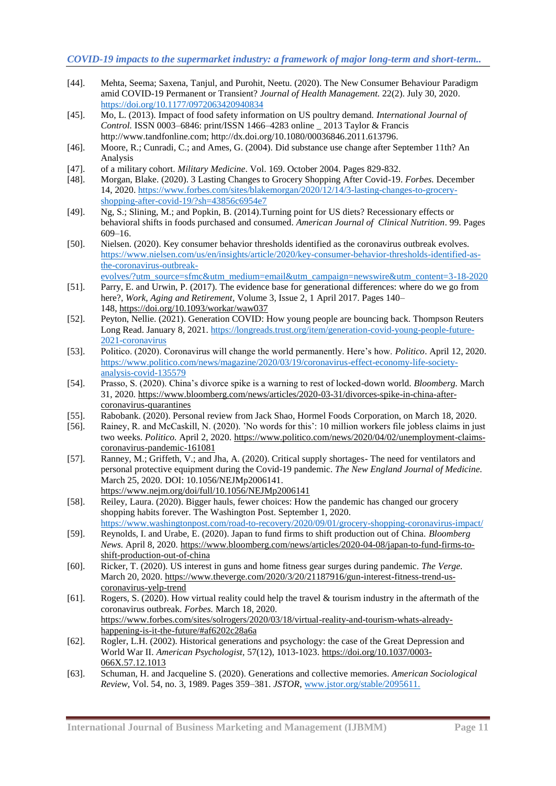- [44]. Mehta, Seema; Saxena, Tanjul, and Purohit, Neetu. (2020). The New Consumer Behaviour Paradigm amid COVID-19 Permanent or Transient? *Journal of Health Management.* 22(2). July 30, 2020. [https://doi.org/10.1177/0972063420940834](https://doi.org/10.1177%2F0972063420940834)
- [45]. Mo, L. (2013). Impact of food safety information on US poultry demand. *International Journal of Control.* ISSN 0003–6846: print/ISSN 1466–4283 online \_ 2013 Taylor & Francis http://www.tandfonline.com; http://dx.doi.org/10.1080/00036846.2011.613796.
- [46]. Moore, R.; Cunradi, C.; and Ames, G. (2004). Did substance use change after September 11th? An Analysis
- [47]. of a military cohort. *Military Medicine*. Vol. 169. October 2004. Pages 829-832.
- [48]. Morgan, Blake. (2020). 3 Lasting Changes to Grocery Shopping After Covid-19. *Forbes.* December 14, 2020. [https://www.forbes.com/sites/blakemorgan/2020/12/14/3-lasting-changes-to-grocery](https://www.forbes.com/sites/blakemorgan/2020/12/14/3-lasting-changes-to-grocery-shopping-after-covid-19/?sh=43856c6954e7)[shopping-after-covid-19/?sh=43856c6954e7](https://www.forbes.com/sites/blakemorgan/2020/12/14/3-lasting-changes-to-grocery-shopping-after-covid-19/?sh=43856c6954e7)
- [49]. Ng, S.; Slining, M.; and Popkin, B. (2014).Turning point for US diets? Recessionary effects or behavioral shifts in foods purchased and consumed. *American Journal of Clinical Nutrition*. 99. Pages 609–16.
- [50]. Nielsen. (2020). Key consumer behavior thresholds identified as the coronavirus outbreak evolves. [https://www.nielsen.com/us/en/insights/article/2020/key-consumer-behavior-thresholds-identified-as](https://www.nielsen.com/us/en/insights/article/2020/key-consumer-behavior-thresholds-identified-as-the-coronavirus-outbreak-evolves/?utm_source=sfmc&utm_medium=email&utm_campaign=newswire&utm_content=3-18-2020)[the-coronavirus-outbreak-](https://www.nielsen.com/us/en/insights/article/2020/key-consumer-behavior-thresholds-identified-as-the-coronavirus-outbreak-evolves/?utm_source=sfmc&utm_medium=email&utm_campaign=newswire&utm_content=3-18-2020)
- [evolves/?utm\\_source=sfmc&utm\\_medium=email&utm\\_campaign=newswire&utm\\_content=3-18-2020](https://www.nielsen.com/us/en/insights/article/2020/key-consumer-behavior-thresholds-identified-as-the-coronavirus-outbreak-evolves/?utm_source=sfmc&utm_medium=email&utm_campaign=newswire&utm_content=3-18-2020) [51]. Parry, E. and Urwin, P. (2017). The evidence base for generational differences: where do we go from
- here?, *Work, Aging and Retirement*, Volume 3, Issue 2, 1 April 2017. Pages 140– 148, <https://doi.org/10.1093/workar/waw037>
- [52]. Peyton, Nellie. (2021). Generation COVID: How young people are bouncing back. Thompson Reuters Long Read. January 8, 2021. [https://longreads.trust.org/item/generation-covid-young-people-future-](https://longreads.trust.org/item/generation-covid-young-people-future-2021-coronavirus)[2021-coronavirus](https://longreads.trust.org/item/generation-covid-young-people-future-2021-coronavirus)
- [53]. Politico. (2020). Coronavirus will change the world permanently. Here's how. *Politico*. April 12, 2020. [https://www.politico.com/news/magazine/2020/03/19/coronavirus-effect-economy-life-society](https://www.politico.com/news/magazine/2020/03/19/coronavirus-effect-economy-life-society-analysis-covid-135579)[analysis-covid-135579](https://www.politico.com/news/magazine/2020/03/19/coronavirus-effect-economy-life-society-analysis-covid-135579)
- [54]. Prasso, S. (2020). China's divorce spike is a warning to rest of locked-down world. *Bloomberg.* March 31, 2020*.* [https://www.bloomberg.com/news/articles/2020-03-31/divorces-spike-in-china-after](https://www.bloomberg.com/news/articles/2020-03-31/divorces-spike-in-china-after-coronavirus-quarantines)[coronavirus-quarantines](https://www.bloomberg.com/news/articles/2020-03-31/divorces-spike-in-china-after-coronavirus-quarantines)
- [55]. Rabobank. (2020). Personal review from Jack Shao, Hormel Foods Corporation, on March 18, 2020.
- [56]. Rainey, R. and McCaskill, N. (2020). 'No words for this': 10 million workers file jobless claims in just two weeks. *Politico.* April 2, 2020*.* [https://www.politico.com/news/2020/04/02/unemployment-claims](https://www.politico.com/news/2020/04/02/unemployment-claims-coronavirus-pandemic-161081)[coronavirus-pandemic-161081](https://www.politico.com/news/2020/04/02/unemployment-claims-coronavirus-pandemic-161081)
- [57]. Ranney, M.; Griffeth, V.; and Jha, A. (2020). Critical supply shortages- The need for ventilators and personal protective equipment during the Covid-19 pandemic. *The New England Journal of Medicine.* March 25, 2020*.* DOI: 10.1056/NEJMp2006141. <https://www.nejm.org/doi/full/10.1056/NEJMp2006141>
- [58]. Reiley, Laura. (2020). Bigger hauls, fewer choices: How the pandemic has changed our grocery shopping habits forever. The Washington Post. September 1, 2020.
- <https://www.washingtonpost.com/road-to-recovery/2020/09/01/grocery-shopping-coronavirus-impact/> [59]. Reynolds, I. and Urabe, E. (2020). Japan to fund firms to shift production out of China. *Bloomberg*
- *News.* April 8, 2020*.* [https://www.bloomberg.com/news/articles/2020-04-08/japan-to-fund-firms-to](https://www.bloomberg.com/news/articles/2020-04-08/japan-to-fund-firms-to-shift-production-out-of-china)[shift-production-out-of-china](https://www.bloomberg.com/news/articles/2020-04-08/japan-to-fund-firms-to-shift-production-out-of-china)
- [60]. Ricker, T. (2020). US interest in guns and home fitness gear surges during pandemic. *The Verge.* March 20, 2020[. https://www.theverge.com/2020/3/20/21187916/gun-interest-fitness-trend-us](https://www.theverge.com/2020/3/20/21187916/gun-interest-fitness-trend-us-coronavirus-yelp-trend)[coronavirus-yelp-trend](https://www.theverge.com/2020/3/20/21187916/gun-interest-fitness-trend-us-coronavirus-yelp-trend)
- [61]. Rogers, S. (2020). How virtual reality could help the travel & tourism industry in the aftermath of the coronavirus outbreak. *Forbes.* March 18, 2020*.*  [https://www.forbes.com/sites/solrogers/2020/03/18/virtual-reality-and-tourism-whats-already](https://www.forbes.com/sites/solrogers/2020/03/18/virtual-reality-and-tourism-whats-already-happening-is-it-the-future/#af6202c28a6a)[happening-is-it-the-future/#af6202c28a6a](https://www.forbes.com/sites/solrogers/2020/03/18/virtual-reality-and-tourism-whats-already-happening-is-it-the-future/#af6202c28a6a)
- [62]. Rogler, L.H. (2002). Historical generations and psychology: the case of the Great Depression and World War II. *American Psychologist,* 57(12), 1013-1023. [https://doi.org/10.1037/0003-](https://doi.org/10.1037/0003-066X.57.12.1013) [066X.57.12.1013](https://doi.org/10.1037/0003-066X.57.12.1013)
- [63]. Schuman, H. and Jacqueline S. (2020). Generations and collective memories. *American Sociological Review*, Vol. 54, no. 3, 1989. Pages 359–381. *JSTOR*, [www.jstor.org/stable/2095611.](http://www.jstor.org/stable/2095611.)